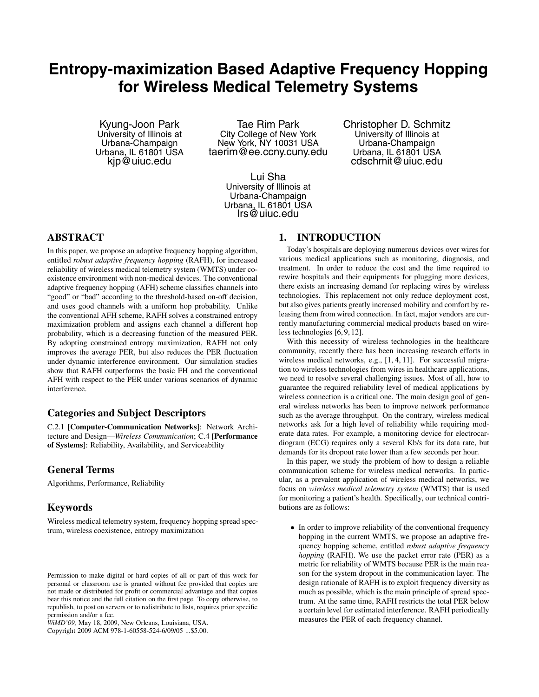# **Entropy-maximization Based Adaptive Frequency Hopping for Wireless Medical Telemetry Systems**

Kyung-Joon Park University of Illinois at Urbana-Champaign Urbana, IL 61801 USA kjp@uiuc.edu

Tae Rim Park City College of New York New York, NY 10031 USA taerim@ee.ccny.cuny.edu

> Lui Sha University of Illinois at Urbana-Champaign Urbana, IL 61801 USA lrs@uiuc.edu

University of Illinois at Urbana-Champaign Urbana, IL 61801 USA cdschmit@uiuc.edu

Christopher D. Schmitz

# **ABSTRACT**

In this paper, we propose an adaptive frequency hopping algorithm, entitled *robust adaptive frequency hopping* (RAFH), for increased reliability of wireless medical telemetry system (WMTS) under coexistence environment with non-medical devices. The conventional adaptive frequency hopping (AFH) scheme classifies channels into "good" or "bad" according to the threshold-based on-off decision, and uses good channels with a uniform hop probability. Unlike the conventional AFH scheme, RAFH solves a constrained entropy maximization problem and assigns each channel a different hop probability, which is a decreasing function of the measured PER. By adopting constrained entropy maximization, RAFH not only improves the average PER, but also reduces the PER fluctuation under dynamic interference environment. Our simulation studies show that RAFH outperforms the basic FH and the conventional AFH with respect to the PER under various scenarios of dynamic interference.

### **Categories and Subject Descriptors**

C.2.1 [**Computer-Communication Networks**]: Network Architecture and Design—*Wireless Communication*; C.4 [**Performance of Systems**]: Reliability, Availability, and Serviceability

### **General Terms**

Algorithms, Performance, Reliability

## **Keywords**

Wireless medical telemetry system, frequency hopping spread spectrum, wireless coexistence, entropy maximization

Copyright 2009 ACM 978-1-60558-524-6/09/05 ...\$5.00.

### **1. INTRODUCTION**

Today's hospitals are deploying numerous devices over wires for various medical applications such as monitoring, diagnosis, and treatment. In order to reduce the cost and the time required to rewire hospitals and their equipments for plugging more devices, there exists an increasing demand for replacing wires by wireless technologies. This replacement not only reduce deployment cost, but also gives patients greatly increased mobility and comfort by releasing them from wired connection. In fact, major vendors are currently manufacturing commercial medical products based on wireless technologies [6, 9, 12].

With this necessity of wireless technologies in the healthcare community, recently there has been increasing research efforts in wireless medical networks, e.g., [1, 4, 11]. For successful migration to wireless technologies from wires in healthcare applications, we need to resolve several challenging issues. Most of all, how to guarantee the required reliability level of medical applications by wireless connection is a critical one. The main design goal of general wireless networks has been to improve network performance such as the average throughput. On the contrary, wireless medical networks ask for a high level of reliability while requiring moderate data rates. For example, a monitoring device for electrocardiogram (ECG) requires only a several Kb/s for its data rate, but demands for its dropout rate lower than a few seconds per hour.

In this paper, we study the problem of how to design a reliable communication scheme for wireless medical networks. In particular, as a prevalent application of wireless medical networks, we focus on *wireless medical telemetry system* (WMTS) that is used for monitoring a patient's health. Specifically, our technical contributions are as follows:

• In order to improve reliability of the conventional frequency hopping in the current WMTS, we propose an adaptive frequency hopping scheme, entitled *robust adaptive frequency hopping* (RAFH). We use the packet error rate (PER) as a metric for reliability of WMTS because PER is the main reason for the system dropout in the communication layer. The design rationale of RAFH is to exploit frequency diversity as much as possible, which is the main principle of spread spectrum. At the same time, RAFH restricts the total PER below a certain level for estimated interference. RAFH periodically measures the PER of each frequency channel.

Permission to make digital or hard copies of all or part of this work for personal or classroom use is granted without fee provided that copies are not made or distributed for profit or commercial advantage and that copies bear this notice and the full citation on the first page. To copy otherwise, to republish, to post on servers or to redistribute to lists, requires prior specific permission and/or a fee.

*WiMD'09,* May 18, 2009, New Orleans, Louisiana, USA.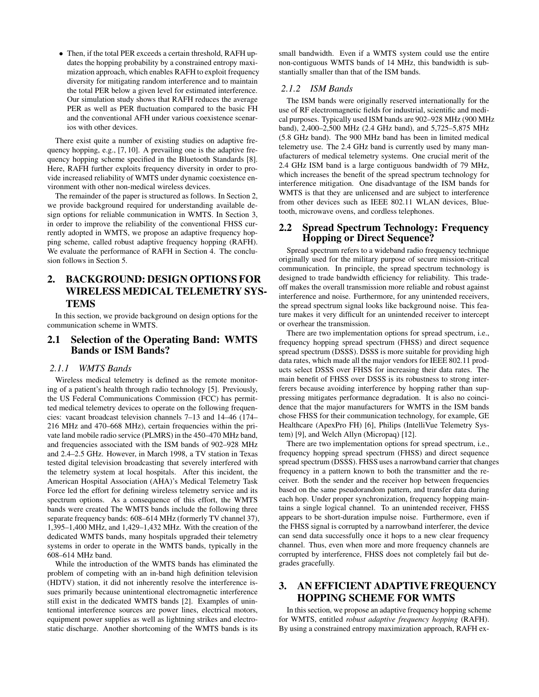• Then, if the total PER exceeds a certain threshold, RAFH updates the hopping probability by a constrained entropy maximization approach, which enables RAFH to exploit frequency diversity for mitigating random interference and to maintain the total PER below a given level for estimated interference. Our simulation study shows that RAFH reduces the average PER as well as PER fluctuation compared to the basic FH and the conventional AFH under various coexistence scenarios with other devices.

There exist quite a number of existing studies on adaptive frequency hopping, e.g., [7, 10]. A prevailing one is the adaptive frequency hopping scheme specified in the Bluetooth Standards [8]. Here, RAFH further exploits frequency diversity in order to provide increased reliability of WMTS under dynamic coexistence environment with other non-medical wireless devices.

The remainder of the paper is structured as follows. In Section 2, we provide background required for understanding available design options for reliable communication in WMTS. In Section 3, in order to improve the reliability of the conventional FHSS currently adopted in WMTS, we propose an adaptive frequency hopping scheme, called robust adaptive frequency hopping (RAFH). We evaluate the performance of RAFH in Section 4. The conclusion follows in Section 5.

# **2. BACKGROUND: DESIGN OPTIONS FOR WIRELESS MEDICAL TELEMETRY SYS-TEMS**

In this section, we provide background on design options for the communication scheme in WMTS.

## **2.1 Selection of the Operating Band: WMTS Bands or ISM Bands?**

### *2.1.1 WMTS Bands*

Wireless medical telemetry is defined as the remote monitoring of a patient's health through radio technology [5]. Previously, the US Federal Communications Commission (FCC) has permitted medical telemetry devices to operate on the following frequencies: vacant broadcast television channels 7–13 and 14–46 (174– 216 MHz and 470–668 MHz), certain frequencies within the private land mobile radio service (PLMRS) in the 450–470 MHz band, and frequencies associated with the ISM bands of 902–928 MHz and 2.4–2.5 GHz. However, in March 1998, a TV station in Texas tested digital television broadcasting that severely interfered with the telemetry system at local hospitals. After this incident, the American Hospital Association (AHA)'s Medical Telemetry Task Force led the effort for defining wireless telemetry service and its spectrum options. As a consequence of this effort, the WMTS bands were created The WMTS bands include the following three separate frequency bands: 608–614 MHz (formerly TV channel 37), 1,395–1,400 MHz, and 1,429–1,432 MHz. With the creation of the dedicated WMTS bands, many hospitals upgraded their telemetry systems in order to operate in the WMTS bands, typically in the 608–614 MHz band.

While the introduction of the WMTS bands has eliminated the problem of competing with an in-band high definition television (HDTV) station, it did not inherently resolve the interference issues primarily because unintentional electromagnetic interference still exist in the dedicated WMTS bands [2]. Examples of unintentional interference sources are power lines, electrical motors, equipment power supplies as well as lightning strikes and electrostatic discharge. Another shortcoming of the WMTS bands is its

small bandwidth. Even if a WMTS system could use the entire non-contiguous WMTS bands of 14 MHz, this bandwidth is substantially smaller than that of the ISM bands.

#### *2.1.2 ISM Bands*

The ISM bands were originally reserved internationally for the use of RF electromagnetic fields for industrial, scientific and medical purposes. Typically used ISM bands are 902–928 MHz (900 MHz band), 2,400–2,500 MHz (2.4 GHz band), and 5,725–5,875 MHz (5.8 GHz band). The 900 MHz band has been in limited medical telemetry use. The 2.4 GHz band is currently used by many manufacturers of medical telemetry systems. One crucial merit of the 2.4 GHz ISM band is a large contiguous bandwidth of 79 MHz, which increases the benefit of the spread spectrum technology for interference mitigation. One disadvantage of the ISM bands for WMTS is that they are unlicensed and are subject to interference from other devices such as IEEE 802.11 WLAN devices, Bluetooth, microwave ovens, and cordless telephones.

### **2.2 Spread Spectrum Technology: Frequency Hopping or Direct Sequence?**

Spread spectrum refers to a wideband radio frequency technique originally used for the military purpose of secure mission-critical communication. In principle, the spread spectrum technology is designed to trade bandwidth efficiency for reliability. This tradeoff makes the overall transmission more reliable and robust against interference and noise. Furthermore, for any unintended receivers, the spread spectrum signal looks like background noise. This feature makes it very difficult for an unintended receiver to intercept or overhear the transmission.

There are two implementation options for spread spectrum, i.e., frequency hopping spread spectrum (FHSS) and direct sequence spread spectrum (DSSS). DSSS is more suitable for providing high data rates, which made all the major vendors for IEEE 802.11 products select DSSS over FHSS for increasing their data rates. The main benefit of FHSS over DSSS is its robustness to strong interferers because avoiding interference by hopping rather than suppressing mitigates performance degradation. It is also no coincidence that the major manufacturers for WMTS in the ISM bands chose FHSS for their communication technology, for example, GE Healthcare (ApexPro FH) [6], Philips (IntelliVue Telemetry System) [9], and Welch Allyn (Micropaq) [12].

There are two implementation options for spread spectrum, i.e., frequency hopping spread spectrum (FHSS) and direct sequence spread spectrum (DSSS). FHSS uses a narrowband carrier that changes frequency in a pattern known to both the transmitter and the receiver. Both the sender and the receiver hop between frequencies based on the same pseudorandom pattern, and transfer data during each hop. Under proper synchronization, frequency hopping maintains a single logical channel. To an unintended receiver, FHSS appears to be short-duration impulse noise. Furthermore, even if the FHSS signal is corrupted by a narrowband interferer, the device can send data successfully once it hops to a new clear frequency channel. Thus, even when more and more frequency channels are corrupted by interference, FHSS does not completely fail but degrades gracefully.

# **3. AN EFFICIENT ADAPTIVE FREQUENCY HOPPING SCHEME FOR WMTS**

In this section, we propose an adaptive frequency hopping scheme for WMTS, entitled *robust adaptive frequency hopping* (RAFH). By using a constrained entropy maximization approach, RAFH ex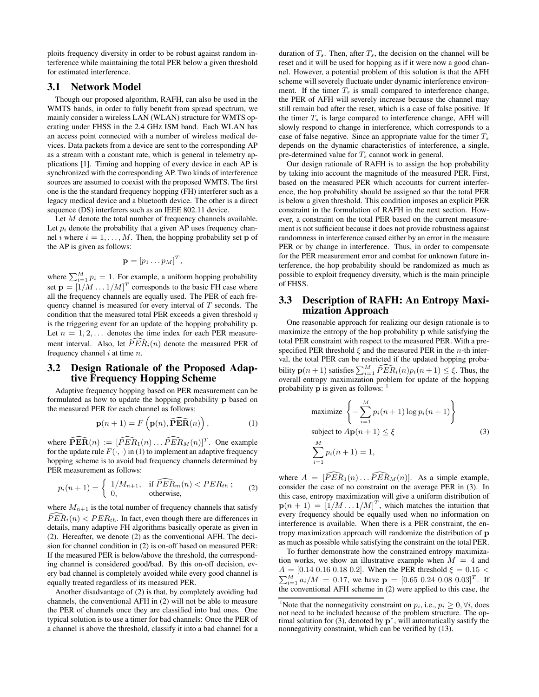ploits frequency diversity in order to be robust against random interference while maintaining the total PER below a given threshold for estimated interference.

### **3.1 Network Model**

Though our proposed algorithm, RAFH, can also be used in the WMTS bands, in order to fully benefit from spread spectrum, we mainly consider a wireless LAN (WLAN) structure for WMTS operating under FHSS in the 2.4 GHz ISM band. Each WLAN has an access point connected with a number of wireless medical devices. Data packets from a device are sent to the corresponding AP as a stream with a constant rate, which is general in telemetry applications [1]. Timing and hopping of every device in each AP is synchronized with the corresponding AP. Two kinds of interference sources are assumed to coexist with the proposed WMTS. The first one is the the standard frequency hopping (FH) interferer such as a legacy medical device and a bluetooth device. The other is a direct sequence (DS) interferers such as an IEEE 802.11 device.

Let M denote the total number of frequency channels available. Let  $p_i$  denote the probability that a given AP uses frequency channel *i* where  $i = 1, \ldots, M$ . Then, the hopping probability set **p** of the AP is given as follows:

$$
\mathbf{p}=[p_1 \ldots p_M]^T,
$$

where  $\sum_{i=1}^{M} p_i = 1$ . For example, a uniform hopping probability<br>set  $p_i = \frac{[1/M - 1/M]^T}{T}$  corresponds to the basis EH gase where set  $\mathbf{p} = \left[1/M \dots 1/M\right]^T$  corresponds to the basic FH case where<br>all the frequency channels are equally used. The PFR of each freall the frequency channels are equally used. The PER of each frequency channel is measured for every interval of  $T$  seconds. The condition that the measured total PER exceeds a given threshold  $\eta$ is the triggering event for an update of the hopping probability **p**.<br>Let  $n = 1, 2, ...$  denotes the time index for each PER measure-<br>ment interval. Also, let  $\widehat{PER}_i(n)$  denote the measured PER of Let  $n = 1, 2, \ldots$  denotes the time index for each PER measurement interval. Also, let  $\widehat{PER}_i(n)$  denote the measured PER of frequency channel  $i$  at time  $n$ .

### **3.2 Design Rationale of the Proposed Adaptive Frequency Hopping Scheme**

Adaptive frequency hopping based on PER measurement can be formulated as how to update the hopping probability **p** based on the measured PER for each channel as follows: **p** hopping probarel as follows:<br>**p**(*n*),  $\widehat{PER}(n)$ 

$$
\mathbf{p}(n+1) = F\left(\mathbf{p}(n), \widehat{\mathbf{PER}}(n)\right),\tag{1}
$$

 $\mathbf{p}(n+1) = F\left(\mathbf{p}(n), \widehat{\text{PER}}(n)\right),$  (1)<br>where  $\widehat{\text{PER}}(n) := [\widehat{PER}_1(n) \dots \widehat{PER}_M(n)]^T$ . One example<br>for the undate rule  $F(\cdot, \cdot)$  in (1) to implement an adaptive frequency for the update rule  $F(\cdot, \cdot)$  in (1) to implement an adaptive frequency hopping scheme is to avoid bad frequency channels determined by PER measurement as follows:

Pying scheme is to avoid bad frequency channels determined by R measurement as follows:

\n
$$
p_i(n+1) = \begin{cases} \n1/M_{n+1}, & \text{if } \widehat{PER}_m(n) < PER_{th} \text{;} \\
0, & \text{otherwise,} \n\end{cases} \tag{2}
$$

where  $M_{n+1}$  is the total number of frequency channels that satisfy where<br>PER  $PER<sub>i</sub>(n) < PER<sub>th</sub>$ . In fact, even though there are differences in details, many adaptive FH algorithms basically operate as given in (2). Hereafter, we denote (2) as the conventional AFH. The decision for channel condition in (2) is on-off based on measured PER: If the measured PER is below/above the threshold, the corresponding channel is considered good/bad. By this on-off decision, every bad channel is completely avoided while every good channel is equally treated regardless of its measured PER.

Another disadvantage of (2) is that, by completely avoiding bad channels, the conventional AFH in (2) will not be able to measure the PER of channels once they are classified into bad ones. One typical solution is to use a timer for bad channels: Once the PER of a channel is above the threshold, classify it into a bad channel for a

duration of  $T_s$ . Then, after  $T_s$ , the decision on the channel will be reset and it will be used for hopping as if it were now a good channel. However, a potential problem of this solution is that the AFH scheme will severely fluctuate under dynamic interference environment. If the timer  $T_s$  is small compared to interference change, the PER of AFH will severely increase because the channel may still remain bad after the reset, which is a case of false positive. If the timer  $T<sub>s</sub>$  is large compared to interference change, AFH will slowly respond to change in interference, which corresponds to a case of false negative. Since an appropriate value for the timer  $T_s$ depends on the dynamic characteristics of interference, a single, pre-determined value for  $T_s$  cannot work in general.

Our design rationale of RAFH is to assign the hop probability by taking into account the magnitude of the measured PER. First, based on the measured PER which accounts for current interference, the hop probability should be assigned so that the total PER is below a given threshold. This condition imposes an explicit PER constraint in the formulation of RAFH in the next section. However, a constraint on the total PER based on the current measurement is not sufficient because it does not provide robustness against randomness in interference caused either by an error in the measure PER or by change in interference. Thus, in order to compensate for the PER measurement error and combat for unknown future interference, the hop probability should be randomized as much as possible to exploit frequency diversity, which is the main principle of FHSS.

### **3.3 Description of RAFH: An Entropy Maximization Approach**

One reasonable approach for realizing our design rationale is to maximize the entropy of the hop probability **p** while satisfying the total PER constraint with respect to the measured PER. With a prespecified PER threshold  $\xi$  and the measured PER in the *n*-th interval, the total PER can be restricted if the updated hopping probaspecified PER threshold  $\xi$  and the measured PER in the *n*-th inter-<br>val, the total PER can be restricted if the updated hopping proba-<br>bility  $\mathbf{p}(n + 1)$  satisfies  $\sum_{i=1}^{M} \widehat{PER}_i(n)p_i(n + 1) \leq \xi$ . Thus, the<br>overall probability  $\bf{p}$  is given as follows:  $\frac{1}{1}$ 

$$
\begin{aligned}\n\text{maximize} & \left\{ -\sum_{i=1}^{M} p_i(n+1) \log p_i(n+1) \right\} \\
\text{subject to } & A\mathbf{p}(n+1) \le \xi \\
& \sum_{i=1}^{M} p_i(n+1) = 1,\n\end{aligned} \tag{3}
$$

where  $A = [\widehat{PER}_1(n) \dots \widehat{PER}_M(n)]$ . As a simple example,<br>consider the case of no constraint on the average PER in (3). In consider the case of no constraint on the average PER in (3). In this case, entropy maximization will give a uniform distribution of  $\mathbf{p}(n+1) = [1/M \dots 1/M]^T$ , which matches the intuition that every frequency should be equally used when no information on every frequency should be equally used when no information on interference is available. When there is a PER constraint, the entropy maximization approach will randomize the distribution of **p** as much as possible while satisfying the constraint on the total PER.

To further demonstrate how the constrained entropy maximization works, we show an illustrative example when  $M = 4$  and  $A = [0.14 \ 0.16 \ 0.18 \ 0.2]$ . When the PER threshold  $\xi = 0.15 < \nabla^M$ ,  $g/M = 0.17$ , we have  $\mathbf{p} = [0.65 \ 0.24 \ 0.08 \ 0.03]$  if  $\sum_{i=1}^{M} a_i/M = 0.17$ , we have **p** = [0.65 0.24 0.08 0.03]<sup>T</sup>. If the conventional AFH scheme in (2) were applied to this case, the

<sup>&</sup>lt;sup>1</sup>Note that the nonnegativity constraint on  $p_i$ , i.e.,  $p_i \geq 0$ ,  $\forall i$ , does not need to be included because of the problem structure. The opnot need to be included because of the problem structure. The optimal solution for (3), denoted by  $\mathbf{p}^*$ , will automatically sastify the nonnegativity constraint, which can be verified by (13).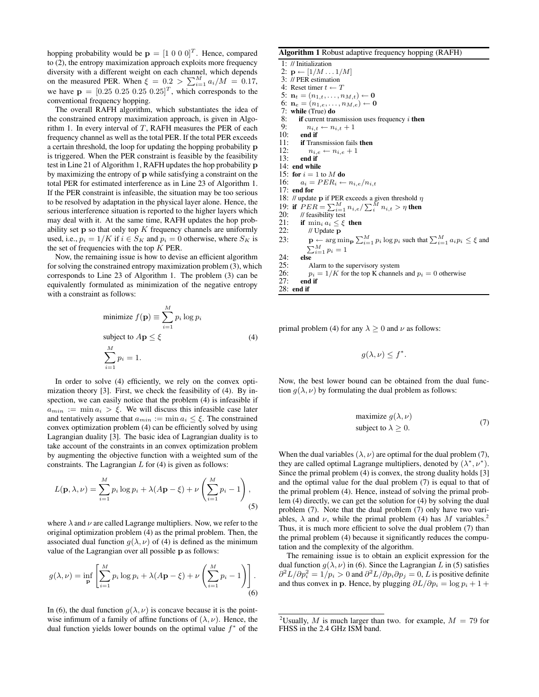hopping probability would be  $\mathbf{p} = \begin{bmatrix} 1 & 0 & 0 & 0 \end{bmatrix}^T$ . Hence, compared to (2), the entropy maximization approach exploits more frequency diversity with a different weight on each channel, which depends on the measured PER. When  $\xi = 0.2 > \sum_{i=1}^{M} a_i/M = 0.17$ ,<br>we have  $p = \left[0.25, 0.25, 0.25, 0.25\right]^T$ , which corresponds to the we have  $p = [0.25 \ 0.25 \ 0.25 \ 0.25]^T$ , which corresponds to the conventional frequency hopping.

The overall RAFH algorithm, which substantiates the idea of the constrained entropy maximization approach, is given in Algorithm 1. In every interval of  $T$ , RAFH measures the PER of each frequency channel as well as the total PER. If the total PER exceeds a certain threshold, the loop for updating the hopping probability **p** is triggered. When the PER constraint is feasible by the feasibility test in Line 21 of Algorithm 1, RAFH updates the hop probability **p** by maximizing the entropy of **p** while satisfying a constraint on the total PER for estimated interference as in Line 23 of Algorithm 1. If the PER constraint is infeasible, the situation may be too serious to be resolved by adaptation in the physical layer alone. Hence, the serious interference situation is reported to the higher layers which may deal with it. At the same time, RAFH updates the hop probability set  $\bf{p}$  so that only top  $K$  frequency channels are uniformly used, i.e.,  $p_i = 1/K$  if  $i \in S_K$  and  $p_i = 0$  otherwise, where  $S_K$  is the set of frequencies with the top  $K$  PER.

Now, the remaining issue is how to devise an efficient algorithm for solving the constrained entropy maximization problem (3), which corresponds to Line 23 of Algorithm 1. The problem (3) can be equivalently formulated as minimization of the negative entropy with a constraint as follows:

minimize 
$$
f(\mathbf{p}) \equiv \sum_{i=1}^{M} p_i \log p_i
$$
  
subject to  $A\mathbf{p} \le \xi$  (4)  

$$
\sum_{i=1}^{M} p_i = 1.
$$

In order to solve (4) efficiently, we rely on the convex optimization theory [3]. First, we check the feasibility of (4). By inspection, we can easily notice that the problem (4) is infeasible if  $a_{min} := \min a_i > \xi$ . We will discuss this infeasible case later and tentatively assume that  $a_{min} := \min a_i \leq \xi$ . The constrained convex optimization problem (4) can be efficiently solved by using Lagrangian duality [3]. The basic idea of Lagrangian duality is to take account of the constraints in an convex optimization problem by augmenting the objective function with a weighted sum of the constraints. The Lagrangian  $L$  for (4) is given as follows:

$$
L(\mathbf{p}, \lambda, \nu) = \sum_{i=1}^{M} p_i \log p_i + \lambda (A\mathbf{p} - \xi) + \nu \left(\sum_{i=1}^{M} p_i - 1\right),
$$
\n(5)

where  $\lambda$  and  $\nu$  are called Lagrange multipliers. Now, we refer to the original optimization problem (4) as the primal problem. Then, the associated dual function  $g(\lambda, \nu)$  of (4) is defined as the minimum value of the Lagrangian over all possible **p** as follows:

$$
g(\lambda, \nu) = \inf_{\mathbf{p}} \left[ \sum_{i=1}^{M} p_i \log p_i + \lambda (A\mathbf{p} - \xi) + \nu \left( \sum_{i=1}^{M} p_i - 1 \right) \right].
$$
 (6)

In (6), the dual function  $g(\lambda, \nu)$  is concave because it is the pointwise infimum of a family of affine functions of  $(\lambda, \nu)$ . Hence, the dual function yields lower bounds on the optimal value  $f^*$  of the

#### **Algorithm 1** Robust adaptive frequency hopping (RAFH)

1: // Initialization 2: **p** ← [1/*M* . . . 1/*M*] 3: // PER estimation

- 4: Reset timer  $t \leftarrow T$
- 5:  $\mathbf{n}_t = (n_{1,t}, \dots, n_{M,t}) \leftarrow \mathbf{0}$
- 6:  $\mathbf{n}_e = (n_{1,e}, \ldots, n_{M,e}) \leftarrow \mathbf{0}$
- 7: **while** (True) **do**
- 8: **if** current transmission uses frequency i **then**
- 9:  $n_{i,t} \leftarrow n_{i,t} + 1$ <br>10: **end if**
- end if
- 11: **if** Transmission fails **then**<br>12:  $n_{i,e} \leftarrow n_{i,e} + 1$
- 12:  $n_{i,e} \leftarrow n_{i,e} + 1$ <br>13: **end if**
- end if
- 14: **end while**
- 15: **for**  $i = 1$  to M **do**<br>16:  $a_i = PER_i \leftarrow$
- $a_i = PER_i \leftarrow n_{i,e}/n_{i,t}$
- 17: **end for**
- 18: // update **p** if PER exceeds a given threshold  $\eta$
- 19: **if**  $PER = \sum_{i=1}^{M} n_{i,e} / \sum_{i}^{M} n_{i,t} > \eta$  then<br>20: *if* feasibility test
- 20: // feasibility test<br>21: **if** min<sub>i</sub>  $a_i \leq \xi$
- 21: **if**  $\min_i a_i \leq \xi$  **then**<br>22: // Update **p**
- 22: // Update **p**
- 23:  $\mathbf{p} \leftarrow \arg \min_{\mathbf{p}} \sum_{i=1}^{M} p_i \log p_i$  such that  $\sum_{i=1}^{M} a_i p_i \le \xi$  and  $\sum_{i=1}^{M} p_i = 1$
- 24: **else**
- Alarm to the supervisory system
- 26:  $p_i = 1/K$  for the top K channels and  $p_i = 0$  otherwise<br>27: **end if**
- end if

28: **end if**

primal problem (4) for any  $\lambda \geq 0$  and  $\nu$  as follows:

 $g(\lambda, \nu) \leq f^*$ .

Now, the best lower bound can be obtained from the dual function  $q(\lambda, \nu)$  by formulating the dual problem as follows:

$$
\begin{array}{ll}\text{maximize } g(\lambda, \nu) \\ \text{subject to } \lambda \ge 0. \end{array} \tag{7}
$$

When the dual variables  $(\lambda, \nu)$  are optimal for the dual problem (7), they are called optimal Lagrange multipliers, denoted by  $(\lambda^*, \nu^*)$ . Since the primal problem (4) is convex, the strong duality holds [3] and the optimal value for the dual problem (7) is equal to that of the primal problem (4). Hence, instead of solving the primal problem (4) directly, we can get the solution for (4) by solving the dual problem (7). Note that the dual problem (7) only have two variables,  $\lambda$  and  $\nu$ , while the primal problem (4) has M variables.<sup>2</sup> Thus, it is much more efficient to solve the dual problem (7) than the primal problem (4) because it significantly reduces the computation and the complexity of the algorithm.

The remaining issue is to obtain an explicit expression for the dual function  $g(\lambda, \nu)$  in (6). Since the Lagrangian L in (5) satisfies  $\frac{\partial^2 L}{\partial p_i^2} = 1/p_i > 0$  and  $\frac{\partial^2 L}{\partial p_i \partial p_j} = 0$ , L is positive definite<br>and thus convex in p. Hence, by plugging  $\frac{\partial L}{\partial p_i} = \log p_i + 1 + \frac{1}{2}$ and thus convex in **p**. Hence, by plugging  $\partial L/\partial p_i = \log p_i + 1 +$ 

<sup>&</sup>lt;sup>2</sup>Usually, *M* is much larger than two. for example,  $M = 79$  for FHSS in the 2.4 GHz ISM band. FHSS in the 2.4 GHz ISM band.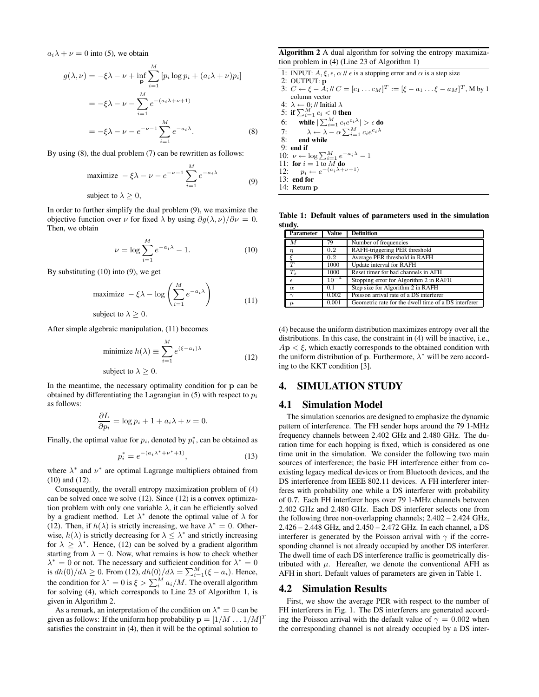$a_i\lambda + \nu = 0$  into (5), we obtain

$$
g(\lambda, \nu) = -\xi \lambda - \nu + \inf_{\mathbf{p}} \sum_{i=1}^{M} \left[ p_i \log p_i + (a_i \lambda + \nu) p_i \right]
$$

$$
= -\xi \lambda - \nu - \sum_{i=1}^{M} e^{-(a_i \lambda + \nu + 1)}
$$

$$
= -\xi \lambda - \nu - e^{-\nu - 1} \sum_{i=1}^{M} e^{-a_i \lambda}.
$$
(8)

By using (8), the dual problem (7) can be rewritten as follows:

$$
\text{maximize } -\xi \lambda - \nu - e^{-\nu - 1} \sum_{i=1}^{M} e^{-a_i \lambda} \tag{9}
$$

subject to  $\lambda > 0$ ,

In order to further simplify the dual problem (9), we maximize the objective function over  $\nu$  for fixed  $\lambda$  by using  $\partial g(\lambda, \nu)/\partial \nu = 0$ . Then, we obtain

$$
\nu = \log \sum_{i=1}^{M} e^{-a_i \lambda} - 1.
$$
 (10)

By substituting (10) into (9), we get

$$
\text{maximize } -\xi \lambda - \log \left( \sum_{i=1}^{M} e^{-a_i \lambda} \right) \tag{11}
$$

subject to  $\lambda \geq 0$ .

After simple algebraic manipulation, (11) becomes

minimize 
$$
h(\lambda) \equiv \sum_{i=1}^{M} e^{(\xi - a_i)\lambda}
$$
 (12)

subject to  $\lambda \geq 0$ .

In the meantime, the necessary optimality condition for **p** can be obtained by differentiating the Lagrangian in  $(5)$  with respect to  $p_i$ as follows:

$$
\frac{\partial L}{\partial p_i} = \log p_i + 1 + a_i \lambda + \nu = 0.
$$

Finally, the optimal value for  $p_i$ , denoted by  $p_i^*$ , can be obtained as

$$
p_i^* = e^{-(a_i \lambda^* + \nu^* + 1)}, \tag{13}
$$

where  $\lambda^*$  and  $\nu^*$  are optimal Lagrange multipliers obtained from (10) and (12).

Consequently, the overall entropy maximization problem of (4) can be solved once we solve (12). Since (12) is a convex optimization problem with only one variable  $\lambda$ , it can be efficiently solved by a gradient method. Let  $\lambda^*$  denote the optimal value of  $\lambda$  for (12). Then, if  $h(\lambda)$  is strictly increasing, we have  $\lambda^* = 0$ . Otherwise,  $h(\lambda)$  is strictly decreasing for  $\lambda \leq \lambda^*$  and strictly increasing for  $\lambda \geq \lambda^*$ . Hence, (12) can be solved by a gradient algorithm starting from  $\lambda = 0$ . Now, what remains is how to check whether starting from  $\lambda = 0$ . Now, what remains is how to check whether  $\lambda^* = 0$  or not. The necessary and sufficient condition for  $\lambda^* = 0$  $\lambda^* = 0$  or not. The necessary and sufficient condition for  $\lambda^* = 0$ <br>is  $dh(0)/d\lambda > 0$ . From (12)  $dh(0)/d\lambda = \sum M(\epsilon - a)$ . Hence is  $dh(0)/d\lambda \ge 0$ . From (12),  $dh(0)/d\lambda = \sum_{i=1}^{M} (\xi - a_i)$ . Hence, the condition for  $\lambda^* = 0$  is  $\xi > \sum_i^M a_i/M$ . The overall algorithm<br>for solving (4) which corresponds to Line 23 of Algorithm 1 is for solving (4), which corresponds to Line 23 of Algorithm 1, is given in Algorithm 2.

As a remark, an interpretation of the condition on  $\lambda^* = 0$  can be given as follows: If the uniform hop probability  $\mathbf{p} = \left[1/M \dots 1/M\right]^T$ <br>satisfies the constraint in (4) then it will be the ontimal solution to satisfies the constraint in (4), then it will be the optimal solution to

**Algorithm 2** A dual algorithm for solving the entropy maximization problem in (4) (Line 23 of Algorithm 1)

1: INPUT:  $A, \xi, \epsilon, \alpha \, \text{if } \epsilon$  is a stopping error and  $\alpha$  is a step size 2: OUTPUT: **p** 3:  $C \leftarrow \xi - A; \# C = [c_1 \dots c_M]^T := [\xi - a_1 \dots \xi - a_M]^T,$  M by 1 column vector column vector 4:  $\lambda \leftarrow 0$ ; // Initial  $\lambda$ <br>5: **if**  $\sum_{i=1}^{M} c_i < 0$  **then**<br>6. **product**  $\sum_{i=1}^{M} c_i$ 6: while  $|\sum_{i=1}^{M} c_i e^{c_i \lambda}| > \epsilon$  do 7:  $\lambda \leftarrow \lambda - \alpha \sum_{i=1}^{M} c_i e^{c_i \lambda}$ 8: **end while** 9: **end if** 10:  $\nu \leftarrow \log \sum_{i=1}^{M} e^{-a_i \lambda} - 1$ <br>11: for  $i = 1$  to M do 11: **for**  $i = 1$  to  $\overline{M}$  **do**<br>12:  $n_i \leftarrow e^{-(a_i \lambda + i)}$  $p_i \leftarrow e^{-(a_i\lambda+\nu+1)}$ 13: **end for** 14: Return **p**

**Table 1: Default values of parameters used in the simulation study.**

| Parameter  | <b>Value</b> | <b>Definition</b>                                    |
|------------|--------------|------------------------------------------------------|
| М          | 79           | Number of frequencies                                |
| n          | 0.2          | RAFH-triggering PER threshold                        |
|            | 0.2          | Average PER threshold in RAFH                        |
| $\tau$     | 1000         | Update interval for RAFH                             |
| $T_{s}$    | 1000         | Reset timer for bad channels in AFH                  |
| $\epsilon$ | $10^{-4}$    | Stopping error for Algorithm 2 in RAFH               |
| $\alpha$   | 0.1          | Step size for Algorithm 2 in RAFH                    |
| $\sim$     | 0.002        | Poisson arrival rate of a DS interferer              |
|            | 0.001        | Geometric rate for the dwell time of a DS interferer |

(4) because the uniform distribution maximizes entropy over all the distributions. In this case, the constraint in (4) will be inactive, i.e.,  $A$ **p**  $\lt$   $\xi$ , which exactly corresponds to the obtained condition with the uniform distribution of **p**. Furthermore,  $\lambda^*$  will be zero according to the KKT condition [3].

### **4. SIMULATION STUDY**

#### **4.1 Simulation Model**

The simulation scenarios are designed to emphasize the dynamic pattern of interference. The FH sender hops around the 79 1-MHz frequency channels between 2.402 GHz and 2.480 GHz. The duration time for each hopping is fixed, which is considered as one time unit in the simulation. We consider the following two main sources of interference; the basic FH interference either from coexisting legacy medical devices or from Bluetooth devices, and the DS interference from IEEE 802.11 devices. A FH interferer interferes with probability one while a DS interferer with probability of 0.7. Each FH interferer hops over 79 1-MHz channels between 2.402 GHz and 2.480 GHz. Each DS interferer selects one from the following three non-overlapping channels; 2.402 – 2.424 GHz, 2.426 – 2.448 GHz, and 2.450 – 2.472 GHz. In each channel, a DS interferer is generated by the Poisson arrival with  $\gamma$  if the corresponding channel is not already occupied by another DS interferer. The dwell time of each DS interference traffic is geometrically distributed with  $\mu$ . Hereafter, we denote the conventional AFH as AFH in short. Default values of parameters are given in Table 1.

### **4.2 Simulation Results**

First, we show the average PER with respect to the number of FH interferers in Fig. 1. The DS interferers are generated according the Poisson arrival with the default value of  $\gamma = 0.002$  when the corresponding channel is not already occupied by a DS inter-